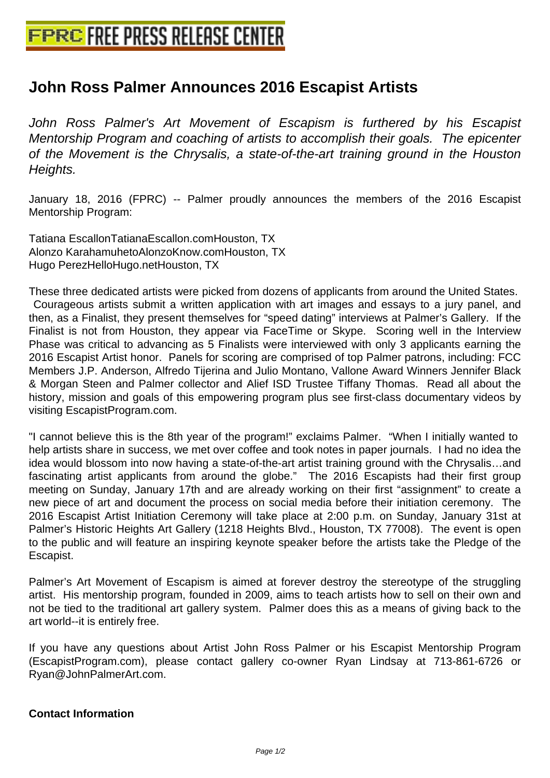## **[John Ross Palmer Announces 201](http://www.free-press-release-center.info)6 Escapist Artists**

John Ross Palmer's Art Movement of Escapism is furthered by his Escapist Mentorship Program and coaching of artists to accomplish their goals. The epicenter of the Movement is the Chrysalis, a state-of-the-art training ground in the Houston Heights.

January 18, 2016 (FPRC) -- Palmer proudly announces the members of the 2016 Escapist Mentorship Program:

Tatiana Escallon TatianaEscallon.com Houston, TX Alonzo Karahamuheto AlonzoKnow.com Houston, TX Hugo Perez HelloHugo.net Houston, TX

 These three dedicated artists were picked from dozens of applicants from around the United States. Courageous artists submit a written application with art images and essays to a jury panel, and then, as a Finalist, they present themselves for "speed dating" interviews at Palmer's Gallery. If the Finalist is not from Houston, they appear via FaceTime or Skype. Scoring well in the Interview Phase was critical to advancing as 5 Finalists were interviewed with only 3 applicants earning the 2016 Escapist Artist honor. Panels for scoring are comprised of top Palmer patrons, including: FCC Members J.P. Anderson, Alfredo Tijerina and Julio Montano, Vallone Award Winners Jennifer Black & Morgan Steen and Palmer collector and Alief ISD Trustee Tiffany Thomas. Read all about the history, mission and goals of this empowering program plus see first-class documentary videos by visiting EscapistProgram.com.

 "I cannot believe this is the 8th year of the program!" exclaims Palmer. "When I initially wanted to help artists share in success, we met over coffee and took notes in paper journals. I had no idea the idea would blossom into now having a state-of-the-art artist training ground with the Chrysalis…and fascinating artist applicants from around the globe." The 2016 Escapists had their first group meeting on Sunday, January 17th and are already working on their first "assignment" to create a new piece of art and document the process on social media before their initiation ceremony. The 2016 Escapist Artist Initiation Ceremony will take place at 2:00 p.m. on Sunday, January 31st at Palmer's Historic Heights Art Gallery (1218 Heights Blvd., Houston, TX 77008). The event is open to the public and will feature an inspiring keynote speaker before the artists take the Pledge of the Escapist.

Palmer's Art Movement of Escapism is aimed at forever destroy the stereotype of the struggling artist. His mentorship program, founded in 2009, aims to teach artists how to sell on their own and not be tied to the traditional art gallery system. Palmer does this as a means of giving back to the art world--it is entirely free.

If you have any questions about Artist John Ross Palmer or his Escapist Mentorship Program (EscapistProgram.com), please contact gallery co-owner Ryan Lindsay at 713-861-6726 or Ryan@JohnPalmerArt.com.

## **Contact Information**